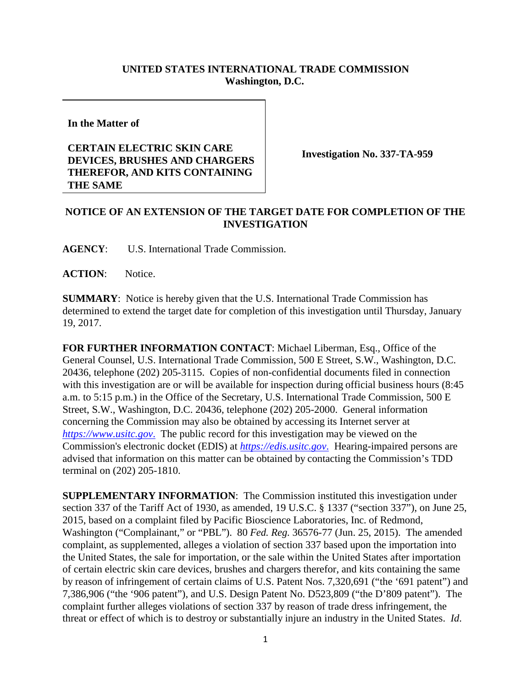## **UNITED STATES INTERNATIONAL TRADE COMMISSION Washington, D.C.**

**In the Matter of**

## **CERTAIN ELECTRIC SKIN CARE DEVICES, BRUSHES AND CHARGERS THEREFOR, AND KITS CONTAINING THE SAME**

**Investigation No. 337-TA-959**

## **NOTICE OF AN EXTENSION OF THE TARGET DATE FOR COMPLETION OF THE INVESTIGATION**

**AGENCY**: U.S. International Trade Commission.

**ACTION**: Notice.

**SUMMARY**: Notice is hereby given that the U.S. International Trade Commission has determined to extend the target date for completion of this investigation until Thursday, January 19, 2017.

**FOR FURTHER INFORMATION CONTACT**: Michael Liberman, Esq., Office of the General Counsel, U.S. International Trade Commission, 500 E Street, S.W., Washington, D.C. 20436, telephone (202) 205-3115. Copies of non-confidential documents filed in connection with this investigation are or will be available for inspection during official business hours (8:45) a.m. to 5:15 p.m.) in the Office of the Secretary, U.S. International Trade Commission, 500 E Street, S.W., Washington, D.C. 20436, telephone (202) 205-2000. General information concerning the Commission may also be obtained by accessing its Internet server at *https://www.usitc.gov*. The public record for this investigation may be viewed on the Commission's electronic docket (EDIS) at *https://edis.usitc.gov*. Hearing-impaired persons are advised that information on this matter can be obtained by contacting the Commission's TDD terminal on (202) 205-1810.

**SUPPLEMENTARY INFORMATION**: The Commission instituted this investigation under section 337 of the Tariff Act of 1930, as amended, 19 U.S.C. § 1337 ("section 337"), on June 25, 2015, based on a complaint filed by Pacific Bioscience Laboratories, Inc. of Redmond, Washington ("Complainant," or "PBL"). 80 *Fed. Reg.* 36576-77 (Jun. 25, 2015). The amended complaint, as supplemented, alleges a violation of section 337 based upon the importation into the United States, the sale for importation, or the sale within the United States after importation of certain electric skin care devices, brushes and chargers therefor, and kits containing the same by reason of infringement of certain claims of U.S. Patent Nos. 7,320,691 ("the '691 patent") and 7,386,906 ("the '906 patent"), and U.S. Design Patent No. D523,809 ("the D'809 patent"). The complaint further alleges violations of section 337 by reason of trade dress infringement, the threat or effect of which is to destroy or substantially injure an industry in the United States. *Id*.